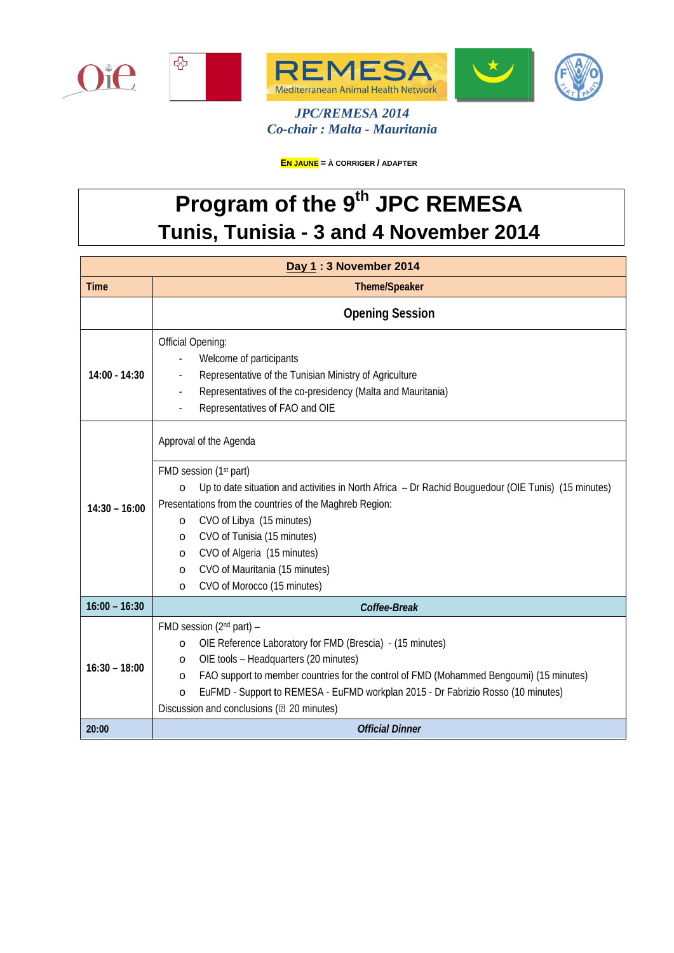

*C Co-chair : Malta - Mauritania JPC/REMESA 2014*

**EN JAUNE = À CORRIGER / ADAPTER**

## **Program of the 9th JPC REMESA Tunis, Tunisia - 3 and 4 November 2014**

| Day 1:3 November 2014 |                                                                                                                                                                                                                      |  |
|-----------------------|----------------------------------------------------------------------------------------------------------------------------------------------------------------------------------------------------------------------|--|
| <b>Time</b>           | Theme/Speaker                                                                                                                                                                                                        |  |
|                       | <b>Opening Session</b>                                                                                                                                                                                               |  |
| $14:00 - 14:30$       | <b>Official Opening:</b><br>Welcome of participants<br>Representative of the Tunisian Ministry of Agriculture<br>Representatives of the co-presidency (Malta and Mauritania)<br>ä,<br>Representatives of FAO and OIE |  |
| $14:30 - 16:00$       | Approval of the Agenda                                                                                                                                                                                               |  |
|                       | FMD session (1st part)<br>Up to date situation and activities in North Africa - Dr Rachid Bouguedour (OIE Tunis) (15 minutes)<br>$\circ$<br>Presentations from the countries of the Maghreb Region:                  |  |
|                       | CVO of Libya (15 minutes)<br>$\circ$                                                                                                                                                                                 |  |
|                       | CVO of Tunisia (15 minutes)<br>$\circ$                                                                                                                                                                               |  |
|                       | CVO of Algeria (15 minutes)<br>$\circ$                                                                                                                                                                               |  |
|                       | CVO of Mauritania (15 minutes)<br>$\circ$                                                                                                                                                                            |  |
|                       | CVO of Morocco (15 minutes)<br>$\Omega$                                                                                                                                                                              |  |
| $16:00 - 16:30$       | Coffee-Break                                                                                                                                                                                                         |  |
| $16:30 - 18:00$       | FMD session (2 <sup>nd</sup> part) -<br>OIE Reference Laboratory for FMD (Brescia) - (15 minutes)<br>$\circ$                                                                                                         |  |
|                       | OIE tools - Headquarters (20 minutes)<br>$\circ$                                                                                                                                                                     |  |
|                       | FAO support to member countries for the control of FMD (Mohammed Bengoumi) (15 minutes)<br>$\circ$                                                                                                                   |  |
|                       | EuFMD - Support to REMESA - EuFMD workplan 2015 - Dr Fabrizio Rosso (10 minutes)<br>$\circ$                                                                                                                          |  |
|                       | Discussion and conclusions (2 20 minutes)                                                                                                                                                                            |  |
| 20:00                 | <b>Official Dinner</b>                                                                                                                                                                                               |  |